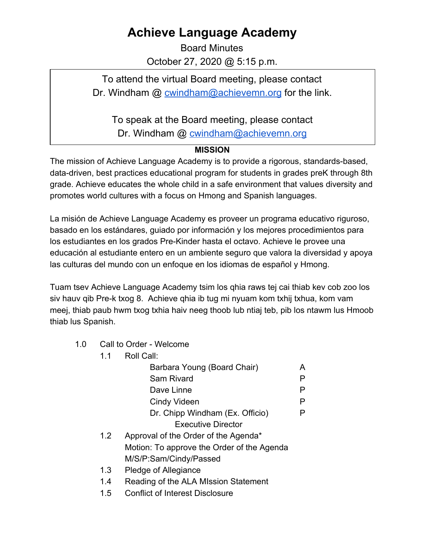## **Achieve Language Academy**

Board Minutes October 27, 2020 @ 5:15 p.m.

To attend the virtual Board meeting, please contact Dr. Windham @ [cwindham@achievemn.org](mailto:cwindham@achievemn.org) for the link.

To speak at the Board meeting, please contact

Dr. Windham @ [cwindham@achievemn.org](mailto:cwindham@achievemn.org)

## **MISSION**

The mission of Achieve Language Academy is to provide a rigorous, standards-based, data-driven, best practices educational program for students in grades preK through 8th grade. Achieve educates the whole child in a safe environment that values diversity and promotes world cultures with a focus on Hmong and Spanish languages.

La misión de Achieve Language Academy es proveer un programa educativo riguroso, basado en los estándares, guiado por información y los mejores procedimientos para los estudiantes en los grados Pre-Kinder hasta el octavo. Achieve le provee una educación al estudiante entero en un ambiente seguro que valora la diversidad y apoya las culturas del mundo con un enfoque en los idiomas de español y Hmong.

Tuam tsev Achieve Language Academy tsim los qhia raws tej cai thiab kev cob zoo los siv hauv qib Pre-k txog 8. Achieve qhia ib tug mi nyuam kom txhij txhua, kom vam meej, thiab paub hwm txog txhia haiv neeg thoob lub ntiaj teb, pib los ntawm lus Hmoob thiab lus Spanish.

1.0 Call to Order - Welcome

 $1.1$ 

| 1.1 | Roll Call:                                 |   |
|-----|--------------------------------------------|---|
|     | Barbara Young (Board Chair)                | A |
|     | <b>Sam Rivard</b>                          | Р |
|     | Dave Linne                                 | Р |
|     | Cindy Videen                               | Р |
|     | Dr. Chipp Windham (Ex. Officio)            |   |
|     | <b>Executive Director</b>                  |   |
| 1.2 | Approval of the Order of the Agenda*       |   |
|     | Motion: To approve the Order of the Agenda |   |
|     | M/S/P:Sam/Cindy/Passed                     |   |
| 1.3 | Pledge of Allegiance                       |   |
|     |                                            |   |

- 1.4 Reading of the ALA MIssion Statement
- 1.5 Conflict of Interest Disclosure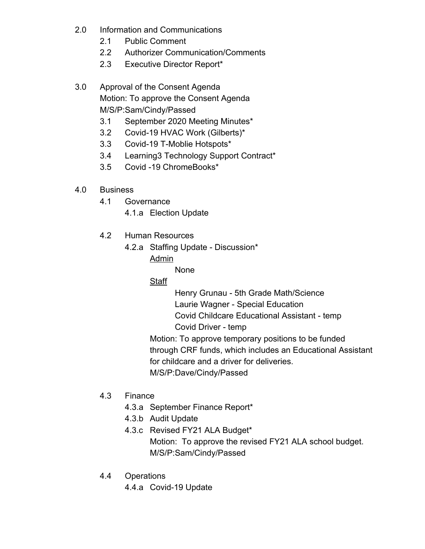- 2.0 Information and Communications
	- 2.1 Public Comment
	- 2.2 Authorizer Communication/Comments
	- 2.3 Executive Director Report\*

3.0 Approval of the Consent Agenda Motion: To approve the Consent Agenda M/S/P:Sam/Cindy/Passed

- 3.1 September 2020 Meeting Minutes\*
- 3.2 Covid-19 HVAC Work (Gilberts)\*
- 3.3 Covid-19 T-Moblie Hotspots\*
- 3.4 Learning3 Technology Support Contract\*
- 3.5 Covid -19 ChromeBooks\*
- 4.0 Business
	- 4.1 Governance
		- 4.1.a Election Update
	- 4.2 Human Resources
		- 4.2.a Staffing Update Discussion\*
			- Admin

None

Staff

Henry Grunau - 5th Grade Math/Science

Laurie Wagner - Special Education

Covid Childcare Educational Assistant - temp

Covid Driver - temp

Motion: To approve temporary positions to be funded through CRF funds, which includes an Educational Assistant for childcare and a driver for deliveries.

M/S/P:Dave/Cindy/Passed

- 4.3 Finance
	- 4.3.a September Finance Report\*
	- 4.3.b Audit Update
	- 4.3.c Revised FY21 ALA Budget\* Motion: To approve the revised FY21 ALA school budget. M/S/P:Sam/Cindy/Passed
- 4.4 Operations

4.4.a Covid-19 Update